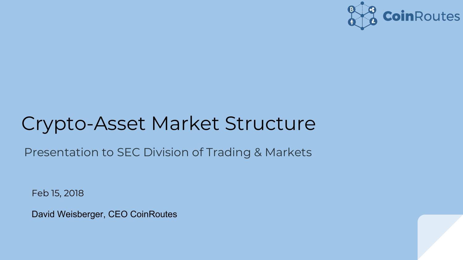

## Crypto-Asset Market Structure

Presentation to SEC Division of Trading & Markets

Feb 15, 2018

David Weisberger, CEO CoinRoutes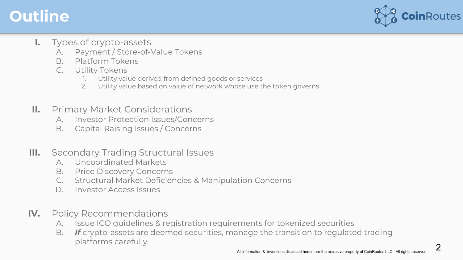## **Outline**



- **I.** Types of crypto-assets
	- A. Payment / Store-of-Value Tokens
	- B. Platform Tokens
	- C. Utility Tokens
		- 1. Utility value derived from defined goods or services
		- 2. Utility value based on value of network whose use the token governs
- **II.** Primary Market Considerations
	- A. Investor Protection Issues/Concerns
	- B. Capital Raising Issues / Concerns
- **III.** Secondary Trading Structural Issues
	- A. Uncoordinated Markets
	- B. Price Discovery Concerns
	- C. Structural Market Deficiencies & Manipulation Concerns
	- D. Investor Access Issues
- **IV.** Policy Recommendations
	- A. Issue ICO guidelines & registration requirements for tokenized securities
	- B. *If* crypto-assets are deemed securities, manage the transition to regulated trading platforms carefully<br>2 All information & inventions disclosed herein are the exclusive property of CoinRoutes LLC. All rights reserved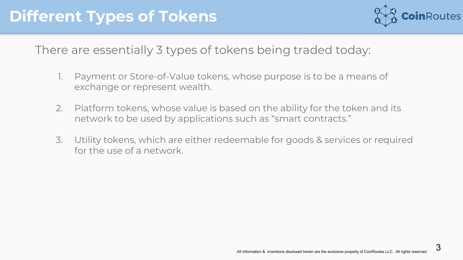

There are essentially 3 types of tokens being traded today:

- 1. Payment or Store-of-Value tokens, whose purpose is to be a means of exchange or represent wealth.
- 2. Platform tokens, whose value is based on the ability for the token and its network to be used by applications such as "smart contracts."
- 3. Utility tokens, which are either redeemable for goods & services or required for the use of a network.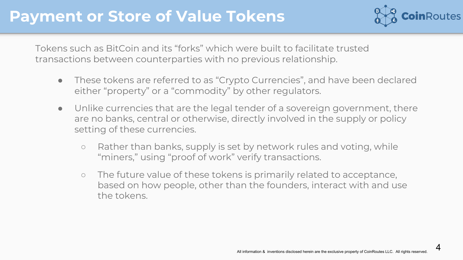

Tokens such as BitCoin and its "forks" which were built to facilitate trusted transactions between counterparties with no previous relationship.

- These tokens are referred to as "Crypto Currencies", and have been declared either "property" or a "commodity" by other regulators.
- Unlike currencies that are the legal tender of a sovereign government, there are no banks, central or otherwise, directly involved in the supply or policy setting of these currencies.
	- Rather than banks, supply is set by network rules and voting, while "miners," using "proof of work" verify transactions.
	- The future value of these tokens is primarily related to acceptance, based on how people, other than the founders, interact with and use the tokens.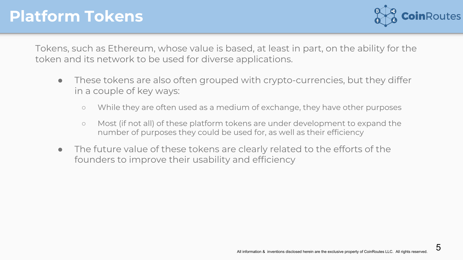## **Platform Tokens**



Tokens, such as Ethereum, whose value is based, at least in part, on the ability for the token and its network to be used for diverse applications.

- These tokens are also often grouped with crypto-currencies, but they differ in a couple of key ways:
	- While they are often used as a medium of exchange, they have other purposes
	- Most (if not all) of these platform tokens are under development to expand the number of purposes they could be used for, as well as their efficiency
- The future value of these tokens are clearly related to the efforts of the founders to improve their usability and efficiency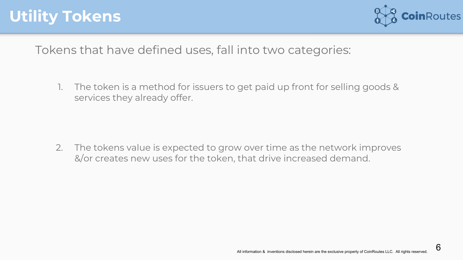## **Utility Tokens**



Tokens that have defined uses, fall into two categories:

1. The token is a method for issuers to get paid up front for selling goods & services they already offer.

2. The tokens value is expected to grow over time as the network improves &/or creates new uses for the token, that drive increased demand.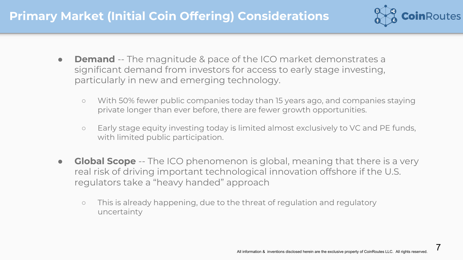

- **Demand** -- The magnitude & pace of the ICO market demonstrates a significant demand from investors for access to early stage investing, particularly in new and emerging technology.
	- With 50% fewer public companies today than 15 years ago, and companies staying private longer than ever before, there are fewer growth opportunities.
	- Early stage equity investing today is limited almost exclusively to VC and PE funds, with limited public participation.
- **Global Scope** -- The ICO phenomenon is global, meaning that there is a very real risk of driving important technological innovation offshore if the U.S. regulators take a "heavy handed" approach
	- This is already happening, due to the threat of regulation and regulatory uncertainty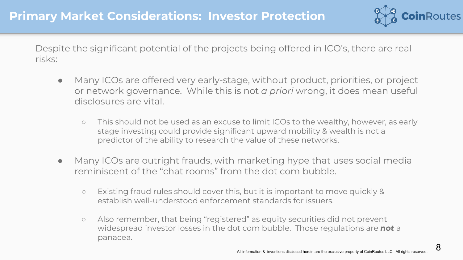

Despite the significant potential of the projects being offered in ICO's, there are real risks:

- Many ICOs are offered very early-stage, without product, priorities, or project or network governance. While this is not *a priori* wrong, it does mean useful disclosures are vital.
	- o This should not be used as an excuse to limit ICOs to the wealthy, however, as early stage investing could provide significant upward mobility & wealth is not a predictor of the ability to research the value of these networks.
- Many ICOs are outright frauds, with marketing hype that uses social media reminiscent of the "chat rooms" from the dot com bubble.
	- Existing fraud rules should cover this, but it is important to move quickly & establish well-understood enforcement standards for issuers.
	- Also remember, that being "registered" as equity securities did not prevent widespread investor losses in the dot com bubble. Those regulations are *not* a panacea.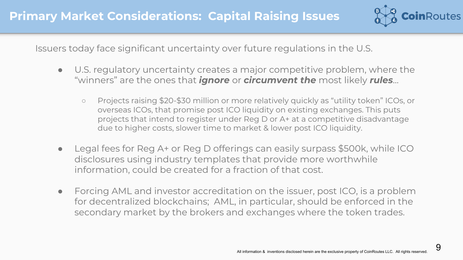

Issuers today face significant uncertainty over future regulations in the U.S.

- U.S. regulatory uncertainty creates a major competitive problem, where the "winners" are the ones that *ignore* or *circumvent the* most likely *rules*...
	- Projects raising \$20-\$30 million or more relatively quickly as "utility token" ICOs, or overseas ICOs, that promise post ICO liquidity on existing exchanges. This puts projects that intend to register under Reg D or A+ at a competitive disadvantage due to higher costs, slower time to market & lower post ICO liquidity.
- Legal fees for Reg A+ or Reg D offerings can easily surpass \$500k, while ICO disclosures using industry templates that provide more worthwhile information, could be created for a fraction of that cost.
- Forcing AML and investor accreditation on the issuer, post ICO, is a problem for decentralized blockchains; AML, in particular, should be enforced in the secondary market by the brokers and exchanges where the token trades.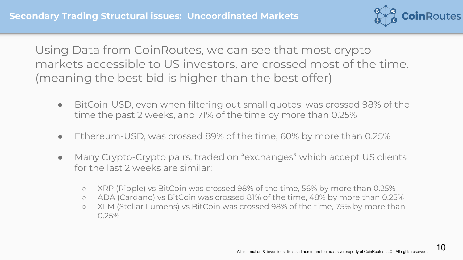

Using Data from CoinRoutes, we can see that most crypto markets accessible to US investors, are crossed most of the time. (meaning the best bid is higher than the best offer)

- BitCoin-USD, even when filtering out small quotes, was crossed 98% of the time the past 2 weeks, and 71% of the time by more than 0.25%
- Ethereum-USD, was crossed 89% of the time, 60% by more than 0.25%
- Many Crypto-Crypto pairs, traded on "exchanges" which accept US clients for the last 2 weeks are similar:
	- XRP (Ripple) vs BitCoin was crossed 98% of the time, 56% by more than 0.25%
	- ADA (Cardano) vs BitCoin was crossed 81% of the time, 48% by more than 0.25%
	- XLM (Stellar Lumens) vs BitCoin was crossed 98% of the time, 75% by more than 0.25%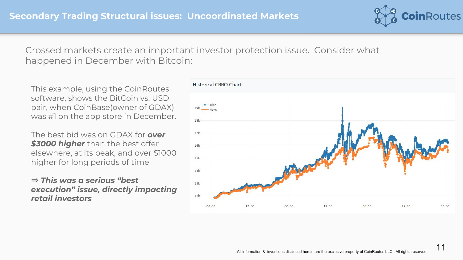

Crossed markets create an important investor protection issue. Consider what happened in December with Bitcoin:

This example, using the CoinRoutes software, shows the BitCoin vs. USD pair, when CoinBase(owner of GDAX) was #1 on the app store in December.

The best bid was on GDAX for *over \$3000 higher* than the best offer elsewhere, at its peak, and over \$1000 higher for long periods of time

⇒ *This was a serious "best execution" issue, directly impacting retail investors*

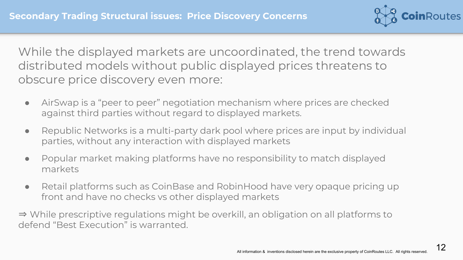

While the displayed markets are uncoordinated, the trend towards distributed models without public displayed prices threatens to obscure price discovery even more:

- AirSwap is a "peer to peer" negotiation mechanism where prices are checked against third parties without regard to displayed markets.
- Republic Networks is a multi-party dark pool where prices are input by individual parties, without any interaction with displayed markets
- Popular market making platforms have no responsibility to match displayed markets
- Retail platforms such as CoinBase and RobinHood have very opaque pricing up front and have no checks vs other displayed markets

⇒ While prescriptive regulations might be overkill, an obligation on all platforms to defend "Best Execution" is warranted.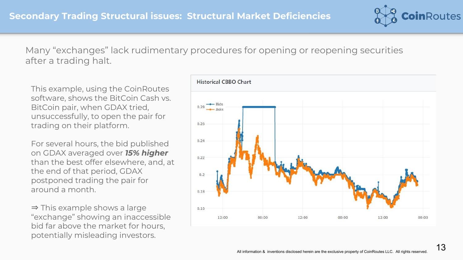

Many "exchanges" lack rudimentary procedures for opening or reopening securities after a trading halt.

This example, using the CoinRoutes software, shows the BitCoin Cash vs. BitCoin pair, when GDAX tried, unsuccessfully, to open the pair for trading on their platform.

For several hours, the bid published on GDAX averaged over *15% higher* than the best offer elsewhere, and, at the end of that period, GDAX postponed trading the pair for around a month.

⇒ This example shows a large "exchange" showing an inaccessible bid far above the market for hours, potentially misleading investors.

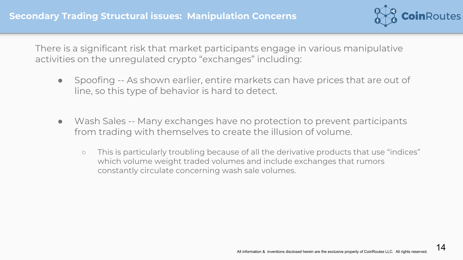

There is a significant risk that market participants engage in various manipulative activities on the unregulated crypto "exchanges" including:

- Spoofing -- As shown earlier, entire markets can have prices that are out of line, so this type of behavior is hard to detect.
- Wash Sales -- Many exchanges have no protection to prevent participants from trading with themselves to create the illusion of volume.
	- This is particularly troubling because of all the derivative products that use "indices" which volume weight traded volumes and include exchanges that rumors constantly circulate concerning wash sale volumes.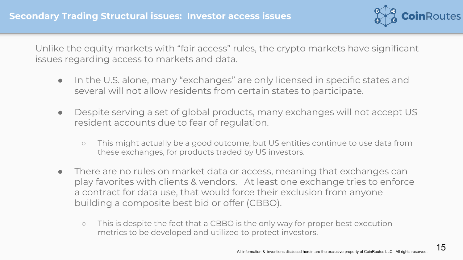

Unlike the equity markets with "fair access" rules, the crypto markets have significant issues regarding access to markets and data.

- In the U.S. alone, many "exchanges" are only licensed in specific states and several will not allow residents from certain states to participate.
- Despite serving a set of global products, many exchanges will not accept US resident accounts due to fear of regulation.
	- This might actually be a good outcome, but US entities continue to use data from these exchanges, for products traded by US investors.
- There are no rules on market data or access, meaning that exchanges can play favorites with clients & vendors. At least one exchange tries to enforce a contract for data use, that would force their exclusion from anyone building a composite best bid or offer (CBBO).
	- This is despite the fact that a CBBO is the only way for proper best execution metrics to be developed and utilized to protect investors.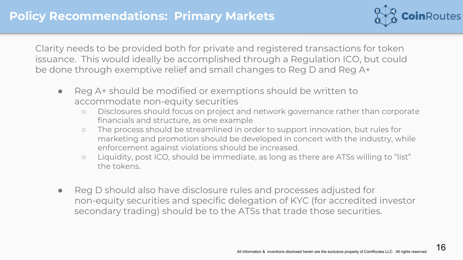

Clarity needs to be provided both for private and registered transactions for token issuance. This would ideally be accomplished through a Regulation ICO, but could be done through exemptive relief and small changes to Reg D and Reg A+

- Reg A+ should be modified or exemptions should be written to accommodate non-equity securities
	- Disclosures should focus on project and network governance rather than corporate financials and structure, as one example
	- The process should be streamlined in order to support innovation, but rules for marketing and promotion should be developed in concert with the industry, while enforcement against violations should be increased.
	- Liquidity, post ICO, should be immediate, as long as there are ATSs willing to "list" the tokens.
- Reg D should also have disclosure rules and processes adjusted for non-equity securities and specific delegation of KYC (for accredited investor secondary trading) should be to the ATSs that trade those securities.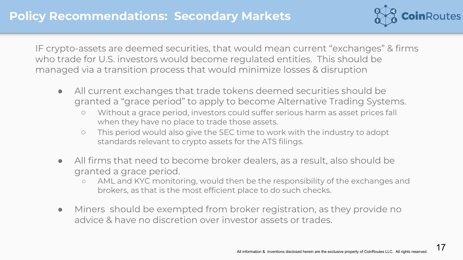

IF crypto-assets are deemed securities, that would mean current "exchanges" & firms who trade for U.S. investors would become regulated entities. This should be managed via a transition process that would minimize losses & disruption

- All current exchanges that trade tokens deemed securities should be granted a "grace period" to apply to become Alternative Trading Systems.
	- Without a grace period, investors could suffer serious harm as asset prices fall when they have no place to trade those assets.
	- This period would also give the SEC time to work with the industry to adopt standards relevant to crypto assets for the ATS filings.
- All firms that need to become broker dealers, as a result, also should be granted a grace period.
	- AML and KYC monitoring, would then be the responsibility of the exchanges and brokers, as that is the most efficient place to do such checks.
- Miners should be exempted from broker registration, as they provide no advice & have no discretion over investor assets or trades.